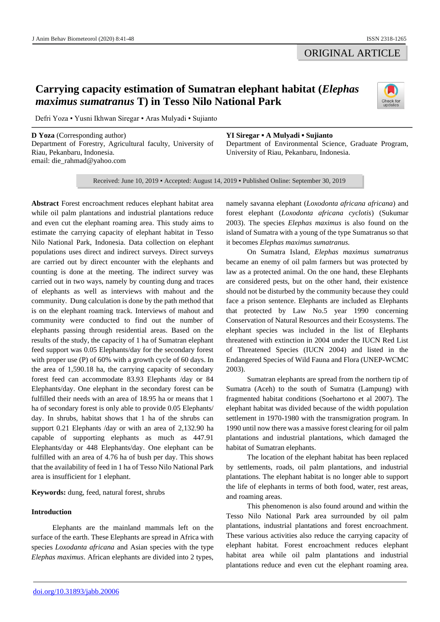## ORIGINAL ARTICLE

# **Carrying capacity estimation of Sumatran elephant habitat (***Elephas maximus sumatranus* **T) in Tesso Nilo National Park**



Defri Yoza ▪ Yusni Ikhwan Siregar ▪ Aras Mulyadi ▪ Sujianto

**D Yoza** (Corresponding author) Department of Forestry, Agricultural faculty, University of Riau, Pekanbaru, Indonesia. email: die\_rahmad@yahoo.com

#### **YI Siregar ▪ A Mulyadi ▪ Sujianto**

Department of Environmental Science, Graduate Program, University of Riau, Pekanbaru, Indonesia.

Received: June 10, 2019 ▪ Accepted: August 14, 2019 ▪ Published Online: September 30, 2019

**Abstract** Forest encroachment reduces elephant habitat area while oil palm plantations and industrial plantations reduce and even cut the elephant roaming area. This study aims to estimate the carrying capacity of elephant habitat in Tesso Nilo National Park, Indonesia. Data collection on elephant populations uses direct and indirect surveys. Direct surveys are carried out by direct encounter with the elephants and counting is done at the meeting. The indirect survey was carried out in two ways, namely by counting dung and traces of elephants as well as interviews with mahout and the community. Dung calculation is done by the path method that is on the elephant roaming track. Interviews of mahout and community were conducted to find out the number of elephants passing through residential areas. Based on the results of the study, the capacity of 1 ha of Sumatran elephant feed support was 0.05 Elephants/day for the secondary forest with proper use (P) of 60% with a growth cycle of 60 days. In the area of 1,590.18 ha, the carrying capacity of secondary forest feed can accommodate 83.93 Elephants /day or 84 Elephants/day. One elephant in the secondary forest can be fulfilled their needs with an area of 18.95 ha or means that 1 ha of secondary forest is only able to provide 0.05 Elephants/ day. In shrubs, habitat shows that 1 ha of the shrubs can support 0.21 Elephants /day or with an area of 2,132.90 ha capable of supporting elephants as much as 447.91 Elephants/day or 448 Elephants/day. One elephant can be fulfilled with an area of 4.76 ha of bush per day. This shows that the availability of feed in 1 ha of Tesso Nilo National Park area is insufficient for 1 elephant.

**Keywords:** dung, feed, natural forest, shrubs

## **Introduction**

Elephants are the mainland mammals left on the surface of the earth. These Elephants are spread in Africa with species *Loxodanta africana* and Asian species with the type *Elephas maximus*. African elephants are divided into 2 types, namely savanna elephant (*Loxodonta africana africana*) and forest elephant (*Loxodonta africana cyclotis*) (Sukumar 2003). The species *Elephas maximus* is also found on the island of Sumatra with a young of the type Sumatranus so that it becomes *Elephas maximus sumatranus.*

On Sumatra Island, *Elephas maximus sumatranus* became an enemy of oil palm farmers but was protected by law as a protected animal. On the one hand, these Elephants are considered pests, but on the other hand, their existence should not be disturbed by the community because they could face a prison sentence. Elephants are included as Elephants that protected by Law No.5 year 1990 concerning Conservation of Natural Resources and their Ecosystems. The elephant species was included in the list of Elephants threatened with extinction in 2004 under the IUCN Red List of Threatened Species (IUCN 2004) and listed in the Endangered Species of Wild Fauna and Flora (UNEP-WCMC 2003).

Sumatran elephants are spread from the northern tip of Sumatra (Aceh) to the south of Sumatra (Lampung) with fragmented habitat conditions (Soehartono et al 2007). The elephant habitat was divided because of the width population settlement in 1970-1980 with the transmigration program. In 1990 until now there was a massive forest clearing for oil palm plantations and industrial plantations, which damaged the habitat of Sumatran elephants.

The location of the elephant habitat has been replaced by settlements, roads, oil palm plantations, and industrial plantations. The elephant habitat is no longer able to support the life of elephants in terms of both food, water, rest areas, and roaming areas.

This phenomenon is also found around and within the Tesso Nilo National Park area surrounded by oil palm plantations, industrial plantations and forest encroachment. These various activities also reduce the carrying capacity of elephant habitat. Forest encroachment reduces elephant habitat area while oil palm plantations and industrial plantations reduce and even cut the elephant roaming area.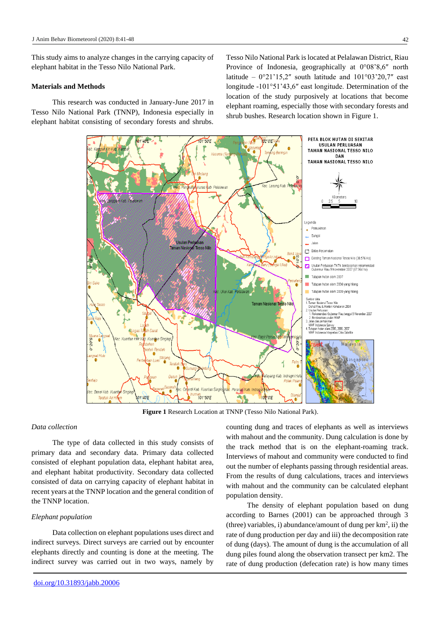This study aims to analyze changes in the carrying capacity of elephant habitat in the Tesso Nilo National Park.

## **Materials and Methods**

This research was conducted in January-June 2017 in Tesso Nilo National Park (TNNP), Indonesia especially in elephant habitat consisting of secondary forests and shrubs.

Tesso Nilo National Park is located at Pelalawan District, Riau Province of Indonesia, geographically at 0°08'8,6″ north latitude –  $0^{\circ}21'15,2''$  south latitude and  $101^{\circ}03'20,7''$  east longitude -101°51'43,6″ east longitude. Determination of the location of the study purposively at locations that become elephant roaming, especially those with secondary forests and shrub bushes. Research location shown in Figure 1.



**Figure 1** Research Location at TNNP (Tesso Nilo National Park).

## *Data collection*

The type of data collected in this study consists of primary data and secondary data. Primary data collected consisted of elephant population data, elephant habitat area, and elephant habitat productivity. Secondary data collected consisted of data on carrying capacity of elephant habitat in recent years at the TNNP location and the general condition of the TNNP location.

#### *Elephant population*

Data collection on elephant populations uses direct and indirect surveys. Direct surveys are carried out by encounter elephants directly and counting is done at the meeting. The indirect survey was carried out in two ways, namely by counting dung and traces of elephants as well as interviews with mahout and the community. Dung calculation is done by the track method that is on the elephant-roaming track. Interviews of mahout and community were conducted to find out the number of elephants passing through residential areas. From the results of dung calculations, traces and interviews with mahout and the community can be calculated elephant population density.

The density of elephant population based on dung according to Barnes (2001) can be approached through 3  $(three)$  variables, i) abundance/amount of dung per  $km^2$ , ii) the rate of dung production per day and iii) the decomposition rate of dung (days). The amount of dung is the accumulation of all dung piles found along the observation transect per km2. The rate of dung production (defecation rate) is how many times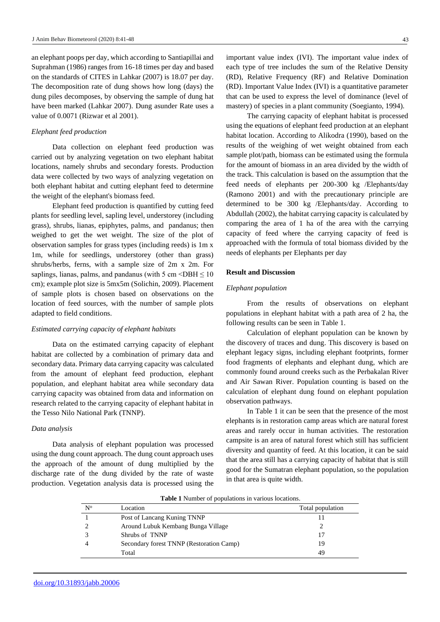an elephant poops per day, which according to Santiapillai and Suprahman (1986) ranges from 16-18 times per day and based on the standards of CITES in Lahkar (2007) is 18.07 per day. The decomposition rate of dung shows how long (days) the dung piles decomposes, by observing the sample of dung hat have been marked (Lahkar 2007). Dung asunder Rate uses a value of 0.0071 (Rizwar et al 2001).

#### *Elephant feed production*

Data collection on elephant feed production was carried out by analyzing vegetation on two elephant habitat locations, namely shrubs and secondary forests. Production data were collected by two ways of analyzing vegetation on both elephant habitat and cutting elephant feed to determine the weight of the elephant's biomass feed.

Elephant feed production is quantified by cutting feed plants for seedling level, sapling level, understorey (including grass), shrubs, lianas, epiphytes, palms, and pandanus; then weighed to get the wet weight. The size of the plot of observation samples for grass types (including reeds) is 1m x 1m, while for seedlings, understorey (other than grass) shrubs/herbs, ferns, with a sample size of 2m x 2m. For saplings, lianas, palms, and pandanus (with 5 cm  $\leq$  DBH  $\leq$  10 cm); example plot size is 5mx5m (Solichin, 2009). Placement of sample plots is chosen based on observations on the location of feed sources, with the number of sample plots adapted to field conditions.

## *Estimated carrying capacity of elephant habitats*

Data on the estimated carrying capacity of elephant habitat are collected by a combination of primary data and secondary data. Primary data carrying capacity was calculated from the amount of elephant feed production, elephant population, and elephant habitat area while secondary data carrying capacity was obtained from data and information on research related to the carrying capacity of elephant habitat in the Tesso Nilo National Park (TNNP).

#### *Data analysis*

Data analysis of elephant population was processed using the dung count approach. The dung count approach uses the approach of the amount of dung multiplied by the discharge rate of the dung divided by the rate of waste production. Vegetation analysis data is processed using the important value index (IVI). The important value index of each type of tree includes the sum of the Relative Density (RD), Relative Frequency (RF) and Relative Domination (RD). Important Value Index (IVI) is a quantitative parameter that can be used to express the level of dominance (level of mastery) of species in a plant community (Soegianto, 1994).

The carrying capacity of elephant habitat is processed using the equations of elephant feed production at an elephant habitat location. According to Alikodra (1990), based on the results of the weighing of wet weight obtained from each sample plot/path, biomass can be estimated using the formula for the amount of biomass in an area divided by the width of the track. This calculation is based on the assumption that the feed needs of elephants per 200-300 kg /Elephants/day (Ramono 2001) and with the precautionary principle are determined to be 300 kg /Elephants/day. According to Abdullah (2002), the habitat carrying capacity is calculated by comparing the area of 1 ha of the area with the carrying capacity of feed where the carrying capacity of feed is approached with the formula of total biomass divided by the needs of elephants per Elephants per day

## **Result and Discussion**

## *Elephant population*

From the results of observations on elephant populations in elephant habitat with a path area of 2 ha, the following results can be seen in Table 1.

Calculation of elephant population can be known by the discovery of traces and dung. This discovery is based on elephant legacy signs, including elephant footprints, former food fragments of elephants and elephant dung, which are commonly found around creeks such as the Perbakalan River and Air Sawan River. Population counting is based on the calculation of elephant dung found on elephant population observation pathways.

In Table 1 it can be seen that the presence of the most elephants is in restoration camp areas which are natural forest areas and rarely occur in human activities. The restoration campsite is an area of natural forest which still has sufficient diversity and quantity of feed. At this location, it can be said that the area still has a carrying capacity of habitat that is still good for the Sumatran elephant population, so the population in that area is quite width.

**Table 1** Number of populations in various locations.

| $N^{\rm o}$ | Location                                 | Total population |
|-------------|------------------------------------------|------------------|
|             | Post of Lancang Kuning TNNP              |                  |
|             | Around Lubuk Kembang Bunga Village       |                  |
|             | Shrubs of TNNP                           |                  |
|             | Secondary forest TNNP (Restoration Camp) | 19               |
|             | Total                                    | 49               |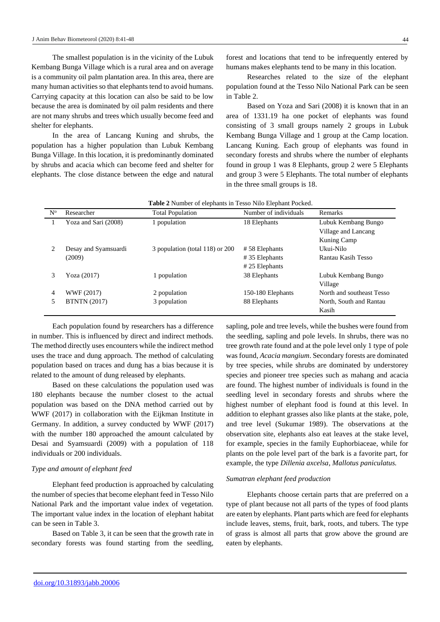The smallest population is in the vicinity of the Lubuk Kembang Bunga Village which is a rural area and on average is a community oil palm plantation area. In this area, there are many human activities so that elephants tend to avoid humans. Carrying capacity at this location can also be said to be low because the area is dominated by oil palm residents and there are not many shrubs and trees which usually become feed and shelter for elephants.

In the area of Lancang Kuning and shrubs, the population has a higher population than Lubuk Kembang Bunga Village. In this location, it is predominantly dominated by shrubs and acacia which can become feed and shelter for elephants. The close distance between the edge and natural

forest and locations that tend to be infrequently entered by humans makes elephants tend to be many in this location.

Researches related to the size of the elephant population found at the Tesso Nilo National Park can be seen in Table 2.

Based on Yoza and Sari (2008) it is known that in an area of 1331.19 ha one pocket of elephants was found consisting of 3 small groups namely 2 groups in Lubuk Kembang Bunga Village and 1 group at the Camp location. Lancang Kuning. Each group of elephants was found in secondary forests and shrubs where the number of elephants found in group 1 was 8 Elephants, group 2 were 5 Elephants and group 3 were 5 Elephants. The total number of elephants in the three small groups is 18.

|                | <b>Table 2</b> is unliber of elephants in Tesso is no elephant I ocked. |                                 |                       |                           |  |  |  |
|----------------|-------------------------------------------------------------------------|---------------------------------|-----------------------|---------------------------|--|--|--|
| $N^{\rm o}$    | Researcher                                                              | <b>Total Population</b>         | Number of individuals | Remarks                   |  |  |  |
|                | Yoza and Sari (2008)                                                    | 1 population                    | 18 Elephants          | Lubuk Kembang Bungo       |  |  |  |
|                |                                                                         |                                 |                       | Village and Lancang       |  |  |  |
|                |                                                                         |                                 |                       | Kuning Camp               |  |  |  |
| 2              | Desay and Syamsuardi                                                    | 3 population (total 118) or 200 | #58 Elephants         | Ukui-Nilo                 |  |  |  |
|                | (2009)                                                                  |                                 | #35 Elephants         | Rantau Kasih Tesso        |  |  |  |
|                |                                                                         |                                 | $#25$ Elephants       |                           |  |  |  |
| 3              | Yoza (2017)                                                             | 1 population                    | 38 Elephants          | Lubuk Kembang Bungo       |  |  |  |
|                |                                                                         |                                 |                       | Village                   |  |  |  |
| $\overline{4}$ | WWF (2017)                                                              | 2 population                    | 150-180 Elephants     | North and southeast Tesso |  |  |  |
| 5              | <b>BTNTN</b> (2017)                                                     | 3 population                    | 88 Elephants          | North, South and Rantau   |  |  |  |
|                |                                                                         |                                 |                       | Kasih                     |  |  |  |

**Table 2** Number of elephants in Tesso Nilo Elephant Pocked.

Each population found by researchers has a difference in number. This is influenced by direct and indirect methods. The method directly uses encounters while the indirect method uses the trace and dung approach. The method of calculating population based on traces and dung has a bias because it is related to the amount of dung released by elephants.

Based on these calculations the population used was 180 elephants because the number closest to the actual population was based on the DNA method carried out by WWF (2017) in collaboration with the Eijkman Institute in Germany. In addition, a survey conducted by WWF (2017) with the number 180 approached the amount calculated by Desai and Syamsuardi (2009) with a population of 118 individuals or 200 individuals.

## *Type and amount of elephant feed*

Elephant feed production is approached by calculating the number of species that become elephant feed in Tesso Nilo National Park and the important value index of vegetation. The important value index in the location of elephant habitat can be seen in Table 3.

Based on Table 3, it can be seen that the growth rate in secondary forests was found starting from the seedling,

sapling, pole and tree levels, while the bushes were found from the seedling, sapling and pole levels. In shrubs, there was no tree growth rate found and at the pole level only 1 type of pole was found, *Acacia mangium*. Secondary forests are dominated by tree species, while shrubs are dominated by understorey species and pioneer tree species such as mahang and acacia are found. The highest number of individuals is found in the seedling level in secondary forests and shrubs where the highest number of elephant food is found at this level. In addition to elephant grasses also like plants at the stake, pole, and tree level (Sukumar 1989). The observations at the observation site, elephants also eat leaves at the stake level, for example, species in the family Euphorbiaceae, while for plants on the pole level part of the bark is a favorite part, for example, the type *Dillenia axcelsa*, *Mallotus paniculatus.*

## *Sumatran elephant feed production*

Elephants choose certain parts that are preferred on a type of plant because not all parts of the types of food plants are eaten by elephants. Plant parts which are feed for elephants include leaves, stems, fruit, bark, roots, and tubers. The type of grass is almost all parts that grow above the ground are eaten by elephants.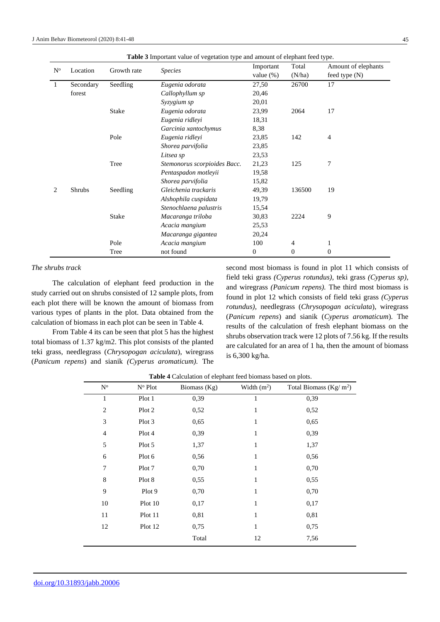| $\mathrm{N}^{\rm o}$ | Location      | Growth rate  | <b>Species</b>               | Important<br>value $(\%)$ | Total<br>(N/ha)  | Amount of elephants<br>feed type (N) |  |
|----------------------|---------------|--------------|------------------------------|---------------------------|------------------|--------------------------------------|--|
| -1                   | Secondary     | Seedling     | Eugenia odorata              | 27,50                     | 26700            | 17                                   |  |
|                      | forest        |              | Callophyllum sp              | 20,46                     |                  |                                      |  |
|                      |               |              | Syzygium sp                  | 20,01                     |                  |                                      |  |
|                      |               | Stake        | Eugenia odorata              | 23,99                     | 2064             | 17                                   |  |
|                      |               |              | Eugenia ridleyi              | 18,31                     |                  |                                      |  |
|                      |               |              | Garcinia xantochymus         | 8,38                      |                  |                                      |  |
|                      |               | Pole         | Eugenia ridleyi              | 23,85                     | 142              | $\overline{4}$                       |  |
|                      |               |              | Shorea parvifolia            | 23,85                     |                  |                                      |  |
|                      |               |              | Litsea sp                    | 23,53                     |                  |                                      |  |
|                      |               | Tree         | Stemonorus scorpioides Bacc. | 21,23                     | 125              | 7                                    |  |
|                      |               |              | Pentaspadon motleyii         | 19,58                     |                  |                                      |  |
|                      |               |              | Shorea parvifolia            | 15,82                     |                  |                                      |  |
| 2                    | <b>Shrubs</b> | Seedling     | Gleichenia trackaris         | 49,39                     | 136500           | 19                                   |  |
|                      |               |              | Alshophila cuspidata         | 19,79                     |                  |                                      |  |
|                      |               |              | Stenochlaena palustris       | 15,54                     |                  |                                      |  |
|                      |               | <b>Stake</b> | Macaranga triloba            | 30,83                     | 2224             | 9                                    |  |
|                      |               |              | Acacia mangium               | 25,53                     |                  |                                      |  |
|                      |               |              | Macaranga gigantea           | 20,24                     |                  |                                      |  |
|                      |               | Pole         | Acacia mangium               | 100                       | 4                | 1                                    |  |
|                      |               | Tree         | not found                    | $\boldsymbol{0}$          | $\boldsymbol{0}$ | $\mathbf{0}$                         |  |

## *The shrubs track*

The calculation of elephant feed production in the study carried out on shrubs consisted of 12 sample plots, from each plot there will be known the amount of biomass from various types of plants in the plot. Data obtained from the calculation of biomass in each plot can be seen in Table 4.

From Table 4 its can be seen that plot 5 has the highest total biomass of 1.37 kg/m2. This plot consists of the planted teki grass, needlegrass (*Chrysopogan aciculata*), wiregrass (*Panicum repens*) and sianik *(Cyperus aromaticum).* The second most biomass is found in plot 11 which consists of field teki grass *(Cyperus rotundus),* teki grass *(Cyperus sp),* and wiregrass *(Panicum repens).* The third most biomass is found in plot 12 which consists of field teki grass *(Cyperus rotundus),* needlegrass (*Chrysopogan aciculata*), wiregrass (*Panicum repens*) and sianik (*Cyperus aromaticum*). The results of the calculation of fresh elephant biomass on the shrubs observation track were 12 plots of 7.56 kg. If the results are calculated for an area of 1 ha, then the amount of biomass is 6,300 kg/ha.

| $N^{\rm o}$    | N <sup>o</sup> Plot | Biomass (Kg) | Width $(m^2)$ | Total Biomass ( $\text{Kg}/\text{m}^2$ ) |
|----------------|---------------------|--------------|---------------|------------------------------------------|
| 1              | Plot 1              | 0,39         | 1             | 0,39                                     |
| $\overline{2}$ | Plot 2              | 0,52         | 1             | 0,52                                     |
| 3              | Plot 3              | 0,65         | 1             | 0,65                                     |
| 4              | Plot 4              | 0,39         | 1             | 0,39                                     |
| 5              | Plot 5              | 1,37         | 1             | 1,37                                     |
| 6              | Plot 6              | 0,56         | 1             | 0,56                                     |
| 7              | Plot 7              | 0,70         | 1             | 0,70                                     |
| 8              | Plot 8              | 0,55         | 1             | 0,55                                     |
| 9              | Plot 9              | 0,70         | 1             | 0,70                                     |
| 10             | Plot 10             | 0,17         | 1             | 0,17                                     |
| 11             | Plot 11             | 0,81         | 1             | 0,81                                     |
| 12             | Plot 12             | 0,75         | 1             | 0,75                                     |
|                |                     | Total        | 12            | 7,56                                     |

**Table 4** Calculation of elephant feed biomass based on plots.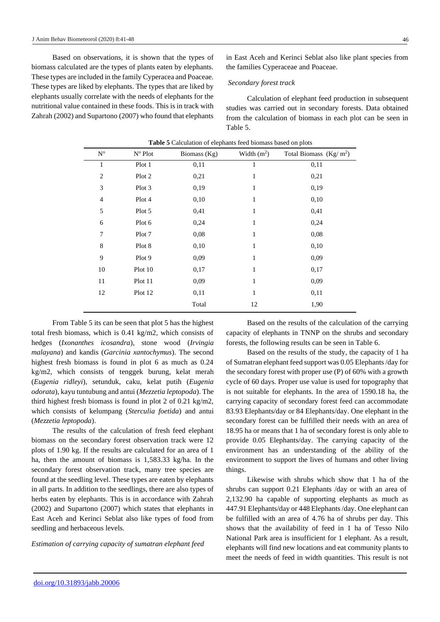Based on observations, it is shown that the types of biomass calculated are the types of plants eaten by elephants. These types are included in the family Cyperacea and Poaceae. These types are liked by elephants. The types that are liked by elephants usually correlate with the needs of elephants for the nutritional value contained in these foods. This is in track with Zahrah (2002) and Supartono (2007) who found that elephants

in East Aceh and Kerinci Seblat also like plant species from the families Cyperaceae and Poaceae.

#### *Secondary forest track*

Calculation of elephant feed production in subsequent studies was carried out in secondary forests. Data obtained from the calculation of biomass in each plot can be seen in Table 5.

|                |                     | л.           |               | ۰.                       |
|----------------|---------------------|--------------|---------------|--------------------------|
| $N^{\rm o}$    | N <sup>o</sup> Plot | Biomass (Kg) | Width $(m^2)$ | Total Biomass $(Kg/m^2)$ |
| 1              | Plot 1              | 0,11         | $\mathbf{1}$  | 0,11                     |
| $\overline{2}$ | Plot 2              | 0,21         | 1             | 0,21                     |
| 3              | Plot 3              | 0,19         | $\mathbf{1}$  | 0,19                     |
| $\overline{4}$ | Plot 4              | 0,10         | $\mathbf{1}$  | 0,10                     |
| 5              | Plot 5              | 0,41         | 1             | 0,41                     |
| 6              | Plot 6              | 0,24         | $\mathbf{1}$  | 0,24                     |
| 7              | Plot 7              | 0,08         | 1             | 0,08                     |
| 8              | Plot 8              | 0,10         | $\mathbf{1}$  | 0,10                     |
| 9              | Plot 9              | 0,09         | $\mathbf{1}$  | 0,09                     |
| 10             | Plot 10             | 0,17         | $\mathbf{1}$  | 0,17                     |
| 11             | Plot 11             | 0,09         | $\mathbf{1}$  | 0,09                     |
| 12             | Plot 12             | 0,11         | $\mathbf{1}$  | 0,11                     |
|                |                     | Total        | 12            | 1,90                     |
|                |                     |              |               |                          |

| <b>Table 5</b> Calculation of elephants feed biomass based on plots |  |  |  |  |  |
|---------------------------------------------------------------------|--|--|--|--|--|
|---------------------------------------------------------------------|--|--|--|--|--|

From Table 5 its can be seen that plot 5 has the highest total fresh biomass, which is 0.41 kg/m2, which consists of hedges (*Ixonanthes icosandra*), stone wood (*Irvingia malayana*) and kandis (*Garcinia xantochymus*). The second highest fresh biomass is found in plot 6 as much as 0.24 kg/m2, which consists of tenggek burung, kelat merah (*Eugenia ridleyi*), setunduk, caku, kelat putih (*Eugenia odorata*), kayu tuntubung and antui (*Mezzetia leptopoda*). The third highest fresh biomass is found in plot 2 of 0.21 kg/m2, which consists of kelumpang (*Sterculia foetida*) and antui (*Mezzetia leptopoda*).

The results of the calculation of fresh feed elephant biomass on the secondary forest observation track were 12 plots of 1.90 kg. If the results are calculated for an area of 1 ha, then the amount of biomass is 1,583.33 kg/ha. In the secondary forest observation track, many tree species are found at the seedling level. These types are eaten by elephants in all parts. In addition to the seedlings, there are also types of herbs eaten by elephants. This is in accordance with Zahrah (2002) and Supartono (2007) which states that elephants in East Aceh and Kerinci Seblat also like types of food from seedling and herbaceous levels.

*Estimation of carrying capacity of sumatran elephant feed*

Based on the results of the calculation of the carrying capacity of elephants in TNNP on the shrubs and secondary forests, the following results can be seen in Table 6.

Based on the results of the study, the capacity of 1 ha of Sumatran elephant feed support was 0.05 Elephants /day for the secondary forest with proper use (P) of 60% with a growth cycle of 60 days. Proper use value is used for topography that is not suitable for elephants. In the area of 1590.18 ha, the carrying capacity of secondary forest feed can accommodate 83.93 Elephants/day or 84 Elephants/day. One elephant in the secondary forest can be fulfilled their needs with an area of 18.95 ha or means that 1 ha of secondary forest is only able to provide 0.05 Elephants/day. The carrying capacity of the environment has an understanding of the ability of the environment to support the lives of humans and other living things.

Likewise with shrubs which show that 1 ha of the shrubs can support 0.21 Elephants /day or with an area of 2,132.90 ha capable of supporting elephants as much as 447.91 Elephants/day or 448 Elephants /day. One elephant can be fulfilled with an area of 4.76 ha of shrubs per day. This shows that the availability of feed in 1 ha of Tesso Nilo National Park area is insufficient for 1 elephant. As a result, elephants will find new locations and eat community plants to meet the needs of feed in width quantities. This result is not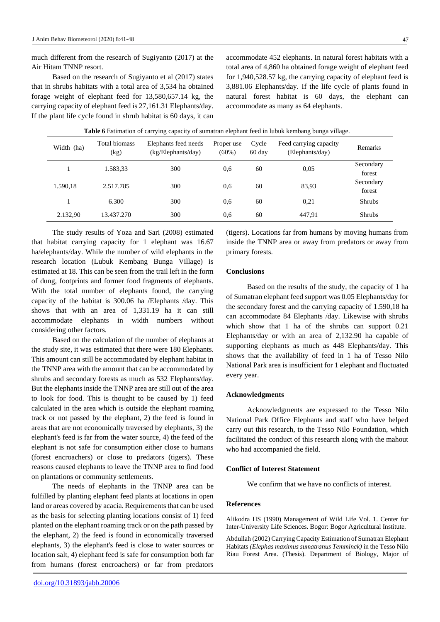much different from the research of Sugiyanto (2017) at the Air Hitam TNNP resort.

Based on the research of Sugiyanto et al (2017) states that in shrubs habitats with a total area of 3,534 ha obtained forage weight of elephant feed for 13,580,657.14 kg, the carrying capacity of elephant feed is 27,161.31 Elephants/day. If the plant life cycle found in shrub habitat is 60 days, it can

accommodate 452 elephants. In natural forest habitats with a total area of 4,860 ha obtained forage weight of elephant feed for 1,940,528.57 kg, the carrying capacity of elephant feed is 3,881.06 Elephants/day. If the life cycle of plants found in natural forest habitat is 60 days, the elephant can accommodate as many as 64 elephants.

| Width (ha) | Total biomass<br>(kg) | Elephants feed needs<br>(kg/Elephants/day) | Proper use<br>$(60\%)$ | Cycle<br>60 day | Feed carrying capacity<br>(Elephants/day) | <b>Remarks</b>      |
|------------|-----------------------|--------------------------------------------|------------------------|-----------------|-------------------------------------------|---------------------|
|            | 1.583,33              | 300                                        | 0.6                    | 60              | 0.05                                      | Secondary<br>forest |
| 1.590,18   | 2.517.785             | 300                                        | 0.6                    | 60              | 83,93                                     | Secondary<br>forest |
|            | 6.300                 | 300                                        | 0.6                    | 60              | 0,21                                      | <b>Shrubs</b>       |
| 2.132,90   | 13.437.270            | 300                                        | 0.6                    | 60              | 447,91                                    | <b>Shrubs</b>       |

The study results of Yoza and Sari (2008) estimated that habitat carrying capacity for 1 elephant was 16.67 ha/elephants/day. While the number of wild elephants in the research location (Lubuk Kembang Bunga Village) is estimated at 18. This can be seen from the trail left in the form of dung, footprints and former food fragments of elephants. With the total number of elephants found, the carrying capacity of the habitat is 300.06 ha /Elephants /day. This shows that with an area of 1,331.19 ha it can still accommodate elephants in width numbers without considering other factors.

Based on the calculation of the number of elephants at the study site, it was estimated that there were 180 Elephants. This amount can still be accommodated by elephant habitat in the TNNP area with the amount that can be accommodated by shrubs and secondary forests as much as 532 Elephants/day. But the elephants inside the TNNP area are still out of the area to look for food. This is thought to be caused by 1) feed calculated in the area which is outside the elephant roaming track or not passed by the elephant, 2) the feed is found in areas that are not economically traversed by elephants, 3) the elephant's feed is far from the water source, 4) the feed of the elephant is not safe for consumption either close to humans (forest encroachers) or close to predators (tigers). These reasons caused elephants to leave the TNNP area to find food on plantations or community settlements.

The needs of elephants in the TNNP area can be fulfilled by planting elephant feed plants at locations in open land or areas covered by acacia. Requirements that can be used as the basis for selecting planting locations consist of 1) feed planted on the elephant roaming track or on the path passed by the elephant, 2) the feed is found in economically traversed elephants, 3) the elephant's feed is close to water sources or location salt, 4) elephant feed is safe for consumption both far from humans (forest encroachers) or far from predators (tigers). Locations far from humans by moving humans from inside the TNNP area or away from predators or away from primary forests.

## **Conclusions**

Based on the results of the study, the capacity of 1 ha of Sumatran elephant feed support was 0.05 Elephants/day for the secondary forest and the carrying capacity of 1.590,18 ha can accommodate 84 Elephants /day. Likewise with shrubs which show that 1 ha of the shrubs can support 0.21 Elephants/day or with an area of 2,132.90 ha capable of supporting elephants as much as 448 Elephants/day. This shows that the availability of feed in 1 ha of Tesso Nilo National Park area is insufficient for 1 elephant and fluctuated every year.

#### **Acknowledgments**

Acknowledgments are expressed to the Tesso Nilo National Park Office Elephants and staff who have helped carry out this research, to the Tesso Nilo Foundation, which facilitated the conduct of this research along with the mahout who had accompanied the field.

## **Conflict of Interest Statement**

We confirm that we have no conflicts of interest.

#### **References**

Alikodra HS (1990) Management of Wild Life Vol. 1. Center for Inter-University Life Sciences. Bogor: Bogor Agricultural Institute.

Abdullah (2002) Carrying Capacity Estimation of Sumatran Elephant Habitats *(Elephas maximus sumatranus Temminck)* in the Tesso Nilo Riau Forest Area. (Thesis). Department of Biology, Major of